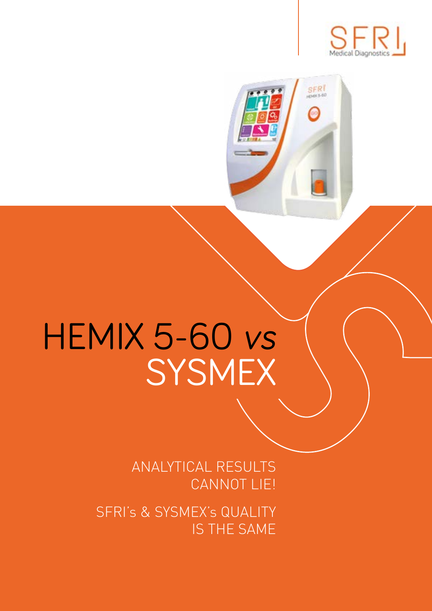

SFR<sup>I</sup>

## HEMIX 5-60 vs SYSMEX

ANALYTICAL RESULTS CANNOT LIE!

SFRI's & SYSMEX's QUALITY IS THE SAME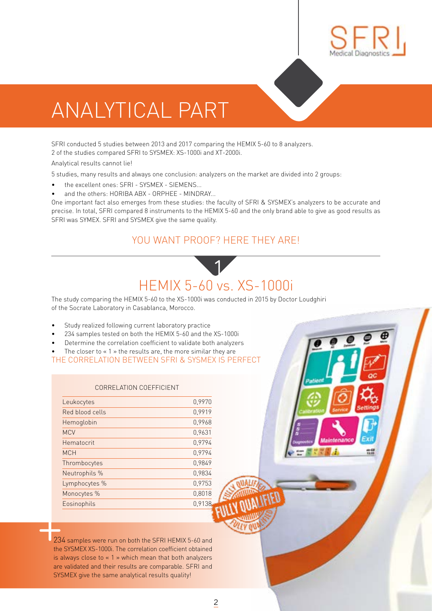

## ANALYTICAL PART

SFRI conducted 5 studies between 2013 and 2017 comparing the HEMIX 5-60 to 8 analyzers. 2 of the studies compared SFRI to SYSMEX: XS-1000i and XT-2000i.

Analytical results cannot lie!

5 studies, many results and always one conclusion: analyzers on the market are divided into 2 groups:

- the excellent ones: SFRI SYSMEX SIEMENS...
- and the others: HORIBA ABX ORPHEE MINDRAY...

One important fact also emerges from these studies: the faculty of SFRI & SYSMEX's analyzers to be accurate and precise. In total, SFRI compared 8 instruments to the HEMIX 5-60 and the only brand able to give as good results as SFRI was SYMEX. SFRI and SYSMEX give the same quality.

#### YOU WANT PROOF? HERE THEY ARE!

#### HEMIX 5-60 vs. XS-1000i 1

The study comparing the HEMIX 5-60 to the XS-1000i was conducted in 2015 by Doctor Loudghiri of the Socrate Laboratory in Casablanca, Morocco.

- Study realized following current laboratory practice
- 234 samples tested on both the HEMIX 5-60 and the XS-1000i
- Determine the correlation coefficient to validate both analyzers
- The closer to  $\leq 1$  » the results are, the more similar they are

THE CORRELATION BETWEEN SFRI & SYSMEX IS PERFECT

#### CORRELATION COEFFICIENT

| Leukocytes      | 0,9970 |
|-----------------|--------|
| Red blood cells | 0,9919 |
| Hemoglobin      | 0,9968 |
| <b>MCV</b>      | 0,9631 |
| Hematocrit      | 0,9794 |
| <b>MCH</b>      | 0,9794 |
| Thrombocytes    | 0,9849 |
| Neutrophils %   | 0.9834 |
| Lymphocytes %   | 0.9753 |
| Monocytes %     | 0.8018 |
| Eosinophils     | 0.9138 |
|                 |        |

234 samples were run on both the SFRI HEMIX 5-60 and the SYSMEX XS-1000i. The correlation coefficient obtained is always close to « 1 » which mean that both analyzers are validated and their results are comparable. SFRI and SYSMEX give the same analytical results quality!  $\begin{array}{c}\n\hline\n\end{array}\n\qquad\n\begin{array}{c}\n\hline\n\end{array}\n\qquad\n\begin{array}{c}\n\hline\n\end{array}\n\qquad\n\begin{array}{c}\n\hline\n\end{array}\n\qquad\n\begin{array}{c}\n\hline\n\end{array}\n\qquad\n\begin{array}{c}\n\hline\n\end{array}\n\qquad\n\begin{array}{c}\n\hline\n\end{array}\n\qquad\n\begin{array}{c}\n\hline\n\end{array}\n\qquad\n\begin{array}{c}\n\hline\n\end{array}\n\qquad\n\begin{array}{c}\n\hline\n\end{array}\n\qquad\n$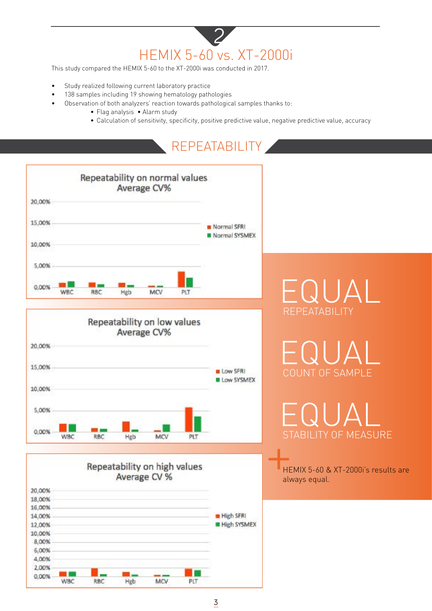#### HEMIX 5-60 vs. XT-2000i 2

This study compared the HEMIX 5-60 to the XT-2000i was conducted in 2017.

- Study realized following current laboratory practice
- 138 samples including 19 showing hematology pathologies
- Observation of both analyzers' reaction towards pathological samples thanks to:
	- Flag analysis Alarm study
	- Calculation of sensitivity, specificity, positive predictive value, negative predictive value, accuracy

#### REPEATABILITY

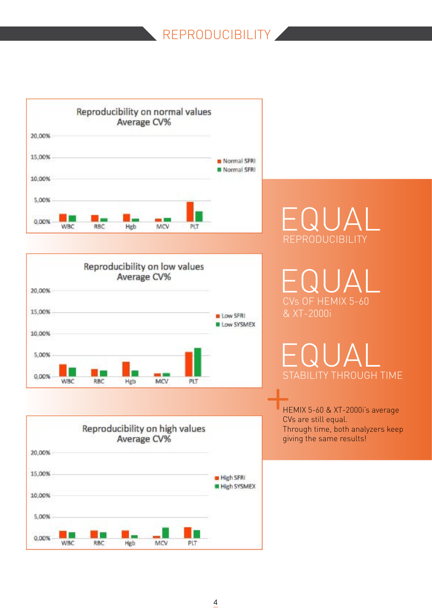#### REPRODUCIBILITY







FQUA REPRODUCIBILITY

EQUAL CVs OF HEMIX 5-60 & XT-2000i

EQUAL STABILITY THROUGH TIME

HEMIX 5-60 & XT-2000i's average CVs are still equal. Through time, both analyzers keep giving the same results!  $\begin{array}{c}\n\circ \\
\bullet \\
\bullet \\
\bullet\n\end{array}$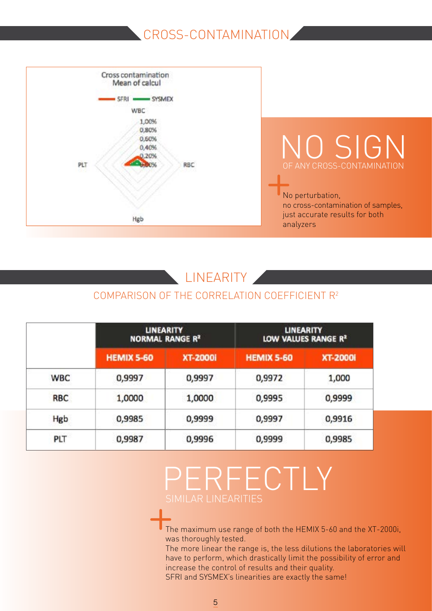#### CROSS-CONTAMINATION



#### LINEARITY

#### COMPARISON OF THE CORRELATION COEFFICIENT R2

|            | <b>LINEARITY</b><br><b>NORMAL RANGE R2</b> |                 | <b>LINEARITY</b><br>LOW VALUES RANGE R <sup>2</sup> |                 |
|------------|--------------------------------------------|-----------------|-----------------------------------------------------|-----------------|
|            | <b>HEMIX 5-60</b>                          | <b>XT-2000i</b> | <b>HEMIX 5-60</b>                                   | <b>XT-2000i</b> |
| <b>WBC</b> | 0,9997                                     | 0,9997          | 0,9972                                              | 1,000           |
| <b>RBC</b> | 1,0000                                     | 1,0000          | 0,9995                                              | 0,9999          |
| Hgb        | 0,9985                                     | 0,9999          | 0,9997                                              | 0,9916          |
| PLT        | 0,9987                                     | 0,9996          | 0,9999                                              | 0,9985          |

## PERFECTLY SIMILAR LINEARITIES  $\begin{array}{c} S \\ \leftarrow \\ \leftarrow \\ \frac{1}{1!} \end{array}$

The maximum use range of both the HEMIX 5-60 and the XT-2000i, was thoroughly tested.

The more linear the range is, the less dilutions the laboratories will have to perform, which drastically limit the possibility of error and increase the control of results and their quality. SFRI and SYSMEX's linearities are exactly the same!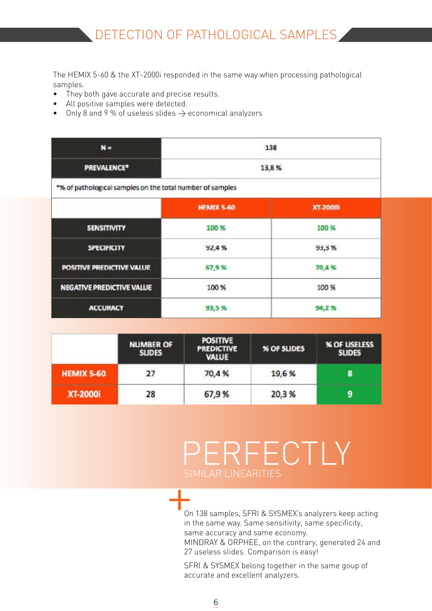The HEMIX 5-60 & the XT-2000i responded in the same way when processing pathological samples.

- They both gave accurate and precise results.
- All positive samples were detected.
- Only 8 and 9 % of useless slides  $\rightarrow$  economical analyzers

| $N =$                                                     | 138<br>13,8%      |          |  |
|-----------------------------------------------------------|-------------------|----------|--|
| PREVALENCE <sup>*</sup>                                   |                   |          |  |
| *% of pathological samples on the total number of samples |                   |          |  |
|                                                           | <b>HEMIX 5-60</b> | XT-2000i |  |
| <b>SENSITIVITY</b>                                        | 100 %             | 100 %    |  |
| <b>SPECIFICITY</b>                                        | 92,4%             | 93,3%    |  |
| POSITIVE PREDICTIVE VALUE                                 | 67,9%             | 70,4%    |  |
| <b>NEGATIVE PREDICTIVE VALUE</b>                          | 100 %             | 100 %    |  |
| <b>ACCURACY</b>                                           | 93,5%             | 94,2%    |  |

|                   | <b>NUMBER OF</b><br><b>SLIDES</b> | <b>POSITIVE</b><br><b>PREDICTIVE</b><br><b>VALUE</b> | % OF SLIDES | % OF USELESS<br><b>SLIDES</b> |
|-------------------|-----------------------------------|------------------------------------------------------|-------------|-------------------------------|
| <b>HEMIX 5-60</b> | 27                                | 70,4%                                                | 19,6%       | 8                             |
| <b>XT-2000i</b>   | 28                                | 67,9%                                                | 20,3%       | 9                             |

### PERFECTLY SIMILAR LINEARITIES

On 138 samples, SFRI & SYSMEX's analyzers keep acting in the same way. Same sensitivity, same specificity, same accuracy and same economy. MINDRAY & ORPHEE, on the contrary, generated 24 and 27 useless slides. Comparison is easy!  $+$ 

SFRI & SYSMEX belong together in the same goup of accurate and excellent analyzers.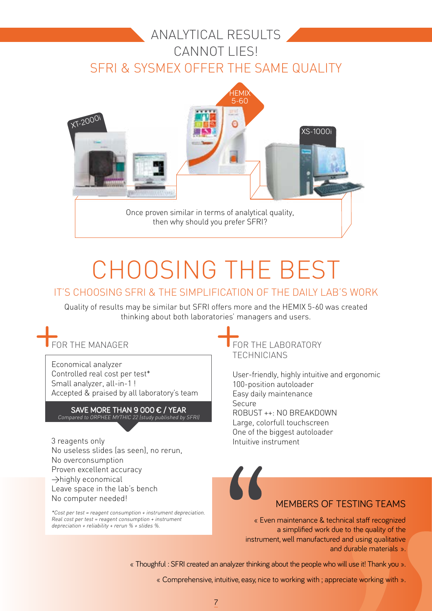#### RESULTS ANALYTICAL RESULTS CANNOT LIFS! SFRI & SYSMEX OFFER THE SAME QUALITY



## CHOOSING THE BEST

#### IT'S CHOOSING SFRI & THE SIMPLIFICATION OF THE DAILY LAB'S WORK

Quality of results may be similar but SFRI offers more and the HEMIX 5-60 was created thinking about both laboratories' managers and users.<br>  $\begin{array}{r} \begin{array}{c} \begin{array}{c} \end{array} \\ \text{FOR THE LABORATO} \\ \end{array} \\ \begin{array}{c} \begin{array}{c} \end{array} \\ \begin{array}{c} \end{array} \\ \begin{array}{c} \end{array} \\ \begin{array}{c} \end{array} \\ \begin{array}{c} \end{array} \\ \begin{array}{c} \end{array} \\ \begin{array}{c} \end{array} \\ \begin{array}{c} \end{array} \\ \begin{array}{c} \end{array$ 

## FOR THE MANAGER  $+$

Economical analyzer Controlled real cost per test\* Small analyzer, all-in-1 ! Accepted & praised by all laboratory's team

#### SAVE MORE THAN 9 000  $\epsilon$  / YEAR Compared to ORPHEE MYTHIC 22 (study published by SFRI)

3 reagents only No useless slides (as seen), no rerun, No overconsumption Proven excellent accuracy  $\rightarrow$ highly economical Leave space in the lab's bench No computer needed!

\*Cost per test = reagent consumption + instrument depreciation.  $Real cost per test = reagent consumption + instrument$ depreciation + reliability + rerun % + slides %.

FOR THE LABORATORY TECHNICIANS

User-friendly, highly intuitive and ergonomic 100-position autoloader Easy daily maintenance Secure ROBUST ++: NO BREAKDOWN Large, colorfull touchscreen One of the biggest autoloader Intuitive instrument

# MEMBERS OF TESTING TEAMS

« Even maintenance & technical staff recognized a simplified work due to the quality of the instrument, well manufactured and using qualitative and durable materials ».

« Thoughful : SFRI created an analyzer thinking about the people who will use it! Thank you ».

« Comprehensive, intuitive, easy, nice to working with ; appreciate working with ».